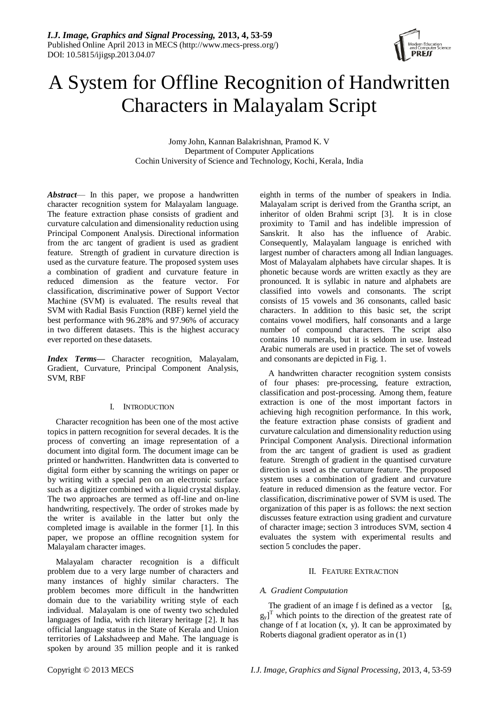

# A System for Offline Recognition of Handwritten Characters in Malayalam Script

Jomy John, Kannan Balakrishnan, Pramod K. V Department of Computer Applications Cochin University of Science and Technology, Kochi, Kerala, India

*Abstract*— In this paper, we propose a handwritten character recognition system for Malayalam language. The feature extraction phase consists of gradient and curvature calculation and dimensionality reduction using Principal Component Analysis. Directional information from the arc tangent of gradient is used as gradient feature. Strength of gradient in curvature direction is used as the curvature feature. The proposed system uses a combination of gradient and curvature feature in reduced dimension as the feature vector. For classification, discriminative power of Support Vector Machine (SVM) is evaluated. The results reveal that SVM with Radial Basis Function (RBF) kernel yield the best performance with 96.28% and 97.96% of accuracy in two different datasets. This is the highest accuracy ever reported on these datasets.

*Index Terms—* Character recognition, Malayalam, Gradient, Curvature, Principal Component Analysis, SVM, RBF

# I. INTRODUCTION

Character recognition has been one of the most active topics in pattern recognition for several decades. It is the process of converting an image representation of a document into digital form. The document image can be printed or handwritten. Handwritten data is converted to digital form either by scanning the writings on paper or by writing with a special pen on an electronic surface such as a digitizer combined with a liquid crystal display. The two approaches are termed as off-line and on-line handwriting, respectively. The order of strokes made by the writer is available in the latter but only the completed image is available in the former [\[1\]](#page-5-0). In this paper, we propose an offline recognition system for Malayalam character images.

Malayalam character recognition is a difficult problem due to a very large number of characters and many instances of highly similar characters. The problem becomes more difficult in the handwritten domain due to the variability writing style of each individual. Malayalam is one of twenty two scheduled languages of India, with rich literary heritage [\[2\]](#page-5-1). It has official language status in the State of Kerala and Union territories of Lakshadweep and Mahe. The language is spoken by around 35 million people and it is ranked

eighth in terms of the number of speakers in India. Malayalam script is derived from the Grantha script, an inheritor of olden Brahmi script [\[3\]](#page-5-2). It is in close proximity to Tamil and has indelible impression of Sanskrit. It also has the influence of Arabic. Consequently, Malayalam language is enriched with largest number of characters among all Indian languages. Most of Malayalam alphabets have circular shapes. It is phonetic because words are written exactly as they are pronounced. It is syllabic in nature and alphabets are classified into vowels and consonants. The script consists of 15 vowels and 36 consonants, called basic characters. In addition to this basic set, the script contains vowel modifiers, half consonants and a large number of compound characters. The script also contains 10 numerals, but it is seldom in use. Instead Arabic numerals are used in practice. The set of vowels and consonants are depicted in Fig. 1.

A handwritten character recognition system consists of four phases: pre-processing, feature extraction, classification and post-processing. Among them, feature extraction is one of the most important factors in achieving high recognition performance. In this work, the feature extraction phase consists of gradient and curvature calculation and dimensionality reduction using Principal Component Analysis. Directional information from the arc tangent of gradient is used as gradient feature. Strength of gradient in the quantised curvature direction is used as the curvature feature. The proposed system uses a combination of gradient and curvature feature in reduced dimension as the feature vector. For classification, discriminative power of SVM is used. The organization of this paper is as follows: the next section discusses feature extraction using gradient and curvature of character image; section 3 introduces SVM, section 4 evaluates the system with experimental results and section 5 concludes the paper.

## II. FEATURE EXTRACTION

# *A. Gradient Computation*

The gradient of an image f is defined as a vector  $[g_x]$  $[g_y]$ <sup>T</sup> which points to the direction of the greatest rate of change of f at location (x, y). It can be approximated by Roberts diagonal gradient operator as in (1)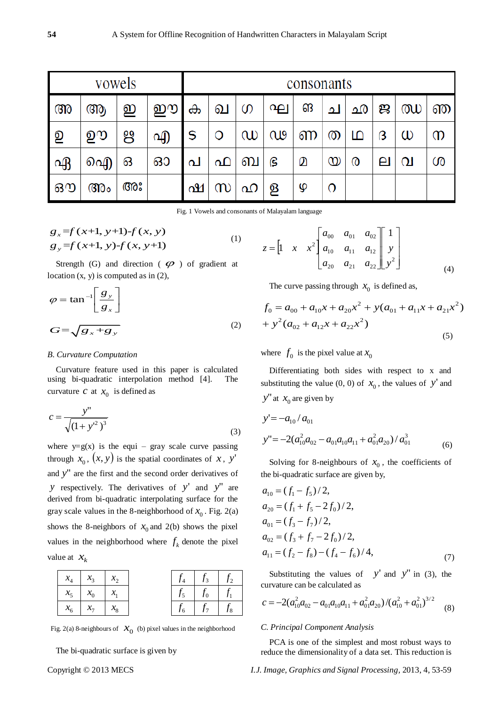| vowels   |    |    |   | consonants |   |               |    |   |                   |              |              |          |   |
|----------|----|----|---|------------|---|---------------|----|---|-------------------|--------------|--------------|----------|---|
| അ        | ആ  | ഇ  | ഈ | ക          | வ | $\mathcal{O}$ | ကျ | ങ | ച                 | ഛ            | ജ            | ഝ        | ഞ |
| <u>ව</u> | ഊ  | ႘ႍ | എ | S          | O | $\omega$      | CU | ണ | $\circledcirc$    | ம            | ß            | $\omega$ | m |
| ഏ        | ഐ  | ഒ  | ഓ | പ          | ഫ | ബ             | ၉  | മ | $^\mathrm{\odot}$ | $^\circledR$ | $\mathbf{e}$ | വ        | ശ |
| ഔ        | അം | അഃ |   | ഷ          | m |               | ള  | ഴ | $\Omega$          |              |              |          |   |

Fig. 1 Vowels and consonants of Malayalam language

$$
g_x=f(x+1, y+1)-f(x, y)
$$
  
\n
$$
g_y=f(x+1, y)-f(x, y+1)
$$
\n(1)

Strength (G) and direction ( $\varphi$ ) of gradient at location  $(x, y)$  is computed as in  $(2)$ ,

$$
\varphi = \tan^{-1} \left[ \frac{g_y}{g_x} \right]
$$
  

$$
G = \sqrt{g_x + g_y} \tag{2}
$$

## *B. Curvature Computation*

Curvature feature used in this paper is calculated using bi-quadratic interpolation method [\[4\]](#page-5-3). The curvature *c* at  $x_0$  is defined as

$$
c = \frac{y''}{\sqrt{(1+y'^2)^3}}
$$
 (3)

where  $y=g(x)$  is the equi – gray scale curve passing through  $x_0$ ,  $(x, y)$  is the spatial coordinates of x, y' and *y*" are the first and the second order derivatives of *y* respectively. The derivatives of *y*<sup>'</sup> and *y*<sup>"</sup> are derived from bi-quadratic interpolating surface for the gray scale values in the 8-neighborhood of  $x_0$ . Fig. 2(a) shows the 8-neighbors of  $x_0$  and 2(b) shows the pixel values in the neighborhood where  $f_k$  denote the pixel value at  $x_k$ 

| $x_{\scriptscriptstyle\mathcal{A}}$ | $\mathcal{X}_3$ | $\chi_{2}$ |  | $f_4$ $f_3$ $f_2$     |  |
|-------------------------------------|-----------------|------------|--|-----------------------|--|
| $x_5 \mid x_0$                      |                 | $\mid x_1$ |  | $f_5$ $f_0$ $f_1$     |  |
| x <sub>6</sub>                      |                 |            |  | $f_6$   $f_7$   $f_8$ |  |

Fig. 2(a) 8-neighbours of  $\mathcal{X}_0$  (b) pixel values in the neighborhood

The bi-quadratic surface is given by

$$
z = \begin{bmatrix} 1 & x & x^2 \end{bmatrix} \begin{bmatrix} a_{00} & a_{01} & a_{02} \\ a_{10} & a_{11} & a_{12} \\ a_{20} & a_{21} & a_{22} \end{bmatrix} \begin{bmatrix} 1 \\ y \\ y^2 \end{bmatrix}
$$
 (4)

The curve passing through  $x_0$  is defined as,

$$
f_0 = a_{00} + a_{10}x + a_{20}x^2 + y(a_{01} + a_{11}x + a_{21}x^2)
$$
  
+ 
$$
y^2(a_{02} + a_{12}x + a_{22}x^2)
$$
 (5)

where  $f_0$  is the pixel value at  $x_0$ 

Differentiating both sides with respect to x and substituting the value (0, 0) of  $x_0$ , the values of y' and  $y''$  at  $x_0$  are given by

$$
y' = -a_{10}/a_{01}
$$
  
\n
$$
y'' = -2(a_{10}^2 a_{02} - a_{01} a_{10} a_{11} + a_{01}^2 a_{20})/a_{01}^3
$$
 (6)

Solving for 8-neighbours of  $x_0$ , the coefficients of the bi-quadratic surface are given by,

$$
a_{10} = (f_1 - f_5)/2,
$$
  
\n
$$
a_{20} = (f_1 + f_5 - 2f_0)/2,
$$
  
\n
$$
a_{01} = (f_3 - f_7)/2,
$$
  
\n
$$
a_{02} = (f_3 + f_7 - 2f_0)/2,
$$
  
\n
$$
a_{11} = (f_2 - f_8) - (f_4 - f_6)/4,
$$
\n(7)

Substituting the values of  $y'$  and  $y''$  in (3), the curvature can be calculated as

$$
c = -2(a_{10}^2 a_{02} - a_{01} a_{10} a_{11} + a_{01}^2 a_{20}) / (a_{10}^2 + a_{01}^2)^{3/2}
$$
 (8)

#### *C. Principal Component Analysis*

PCA is one of the simplest and most robust ways to reduce the dimensionality of a data set. This reduction is

Copyright © 2013 MECS *I.J. Image, Graphics and Signal Processing,* 2013, 4, 53-59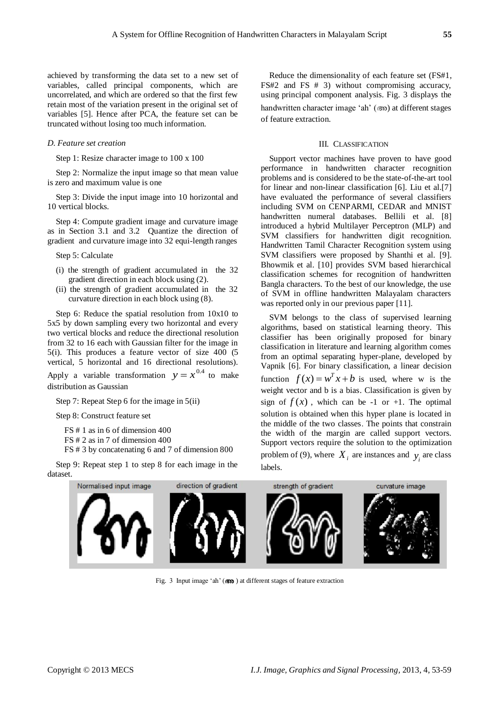achieved by transforming the data set to a new set of variables, called principal components, which are uncorrelated, and which are ordered so that the first few retain most of the variation present in the original set of variables [\[5\]](#page-5-4). Hence after PCA, the feature set can be truncated without losing too much information.

## *D. Feature set creation*

Step 1: Resize character image to 100 x 100

Step 2: Normalize the input image so that mean value is zero and maximum value is one

Step 3: Divide the input image into 10 horizontal and 10 vertical blocks.

Step 4: Compute gradient image and curvature image as in Section 3.1 and 3.2 Quantize the direction of gradient and curvature image into 32 equi-length ranges

Step 5: Calculate

- (i) the strength of gradient accumulated in the 32 gradient direction in each block using (2).
- (ii) the strength of gradient accumulated in the 32 curvature direction in each block using (8).

Step 6: Reduce the spatial resolution from 10x10 to 5x5 by down sampling every two horizontal and every two vertical blocks and reduce the directional resolution from 32 to 16 each with Gaussian filter for the image in 5(i). This produces a feature vector of size 400 (5 vertical, 5 horizontal and 16 directional resolutions). Apply a variable transformation  $y = x^{0.4}$  to make distribution as Gaussian

Step 7: Repeat Step 6 for the image in 5(ii)

Step 8: Construct feature set

FS # 1 as in 6 of dimension 400

FS # 2 as in 7 of dimension 400

FS # 3 by concatenating 6 and 7 of dimension 800

Step 9: Repeat step 1 to step 8 for each image in the dataset.

Reduce the dimensionality of each feature set (FS#1, FS#2 and FS # 3) without compromising accuracy, using principal component analysis. Fig. 3 displays the handwritten character image 'ah' (അ) at different stages of feature extraction.

## III. CLASSIFICATION

Support vector machines have proven to have good performance in handwritten character recognition problems and is considered to be the state-of-the-art tool for linear and non-linear classification [\[6\]](#page-5-5). Liu et al.[\[7\]](#page-5-6) have evaluated the performance of several classifiers including SVM on CENPARMI, CEDAR and MNIST handwritten numeral databases. Bellili et al. [\[8\]](#page-5-7) introduced a hybrid Multilayer Perceptron (MLP) and SVM classifiers for handwritten digit recognition. Handwritten Tamil Character Recognition system using SVM classifiers were proposed by Shanthi et al. [\[9\]](#page-5-8). Bhowmik et al. [\[10\]](#page-5-9) provides SVM based hierarchical classification schemes for recognition of handwritten Bangla characters. To the best of our knowledge, the use of SVM in offline handwritten Malayalam characters was reported only in our previous paper [\[11\]](#page-5-10).

SVM belongs to the class of supervised learning algorithms, based on statistical learning theory. This classifier has been originally proposed for binary classification in literature and learning algorithm comes from an optimal separating hyper-plane, developed by Vapnik [\[6\]](#page-5-5). For binary classification, a linear decision function  $f(x) = w^T x + b$  is used, where w is the weight vector and b is a bias. Classification is given by sign of  $f(x)$ , which can be -1 or +1. The optimal solution is obtained when this hyper plane is located in the middle of the two classes. The points that constrain the width of the margin are called support vectors. Support vectors require the solution to the optimization problem of (9), where  $X_i$  are instances and  $y_i$  are class labels.



Fig. 3 Input image 'ah' ( $\circled{3}$ ) at different stages of feature extraction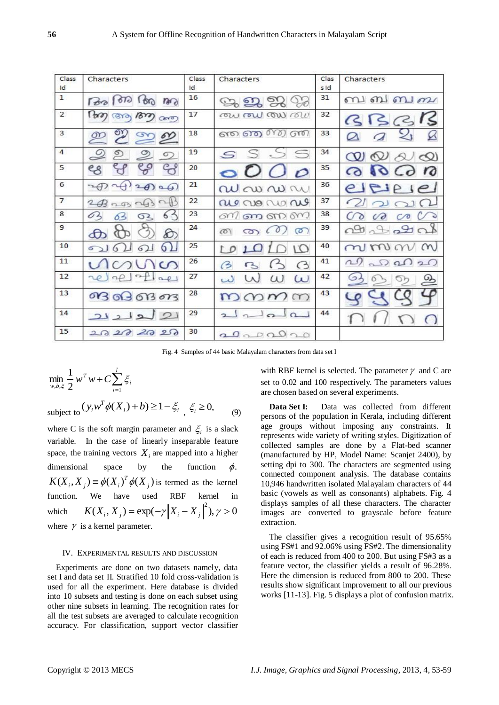| Class<br>Id    | Characters                               | Class<br>1d | Characters                        | Clas<br>$s$ ld | Characters                                                      |
|----------------|------------------------------------------|-------------|-----------------------------------|----------------|-----------------------------------------------------------------|
| $\mathbf{1}$   | Pop<br>1610<br>m<br>60                   | 16          | 2222                              | 31             | ബബബ <i>ബ</i>                                                    |
| $\overline{2}$ | Pom<br>1622<br><b>GYA</b><br>$Cer\sigma$ | 17          | <i>രുപ രൂപ രൂപ രൂപ</i>            | 32             | BBBIS                                                           |
| 3              | മ്മ<br>$\infty$                          | 18          | ை வை வை வ                         | 33             |                                                                 |
| $\overline{4}$ | $\circ$<br>ഉ<br>$\circ$<br>$\circ$       | 19          | S                                 | 34             | $\infty$<br>$\infty$<br>$\infty$<br>$\sim$                      |
| 5              | eg                                       | 20          | $\mathbf{O}$<br>$\mathcal{D}$     | 35             | $\Omega$<br>$\overline{\mathcal{O}}$<br>$\epsilon$ <sub>d</sub> |
| 6              | $\overline{2}$<br>$\Theta$ as            | 21          | $\omega$ $\infty$ $\infty$        | 36             | eleipie                                                         |
| $\overline{7}$ | $2B$ 2 $B$ $\sim$ $B$ $\sim$ $B$         | 22          | ale no no no                      | 37             |                                                                 |
| 8              | 62<br>6<br>63<br>୦2                      | 23          |                                   | 38             | $\mathcal{C}$<br>$\mathcal{C}$<br>$\ddot{\bullet}$              |
| 9              | €                                        | 24          | (0)<br>$\circ$<br><b>CO</b><br>co | 39             | 2920                                                            |
| 10             | (1)<br>6                                 | 25          | $\cup$<br>r o                     | 40             | mmn<br>(m)                                                      |
| 11             | $\circ$                                  | 26          | $\odot$<br>B                      | 41             | $\sim$<br>00020                                                 |
| 12             | $2\pm12$<br>20                           | 27          | $\omega$<br>$\omega$              | 42             | وت<br><u>ω,</u>                                                 |
| 13             | 03030303                                 | 28          | mmmm                              | 43             |                                                                 |
| 14             | لطلعلدك                                  | 29          | 20<br>$\Omega$<br>$\overline{a}$  | 44             |                                                                 |
| 15             | 20202020                                 | 30          | 20202020                          |                |                                                                 |

Fig. 4 Samples of 44 basic Malayalam characters from data set I

$$
\min_{w,b,\xi} \frac{1}{2} w^T w + C \sum_{i=1}^l \xi_i
$$
\n
$$
\text{subject to } (y_i w^T \phi(X_i) + b) \ge 1 - \xi_i, \xi_i \ge 0,
$$
\n
$$
(9)
$$

where C is the soft margin parameter and  $\xi$  is a slack variable. In the case of linearly inseparable feature space, the training vectors  $X_i$  are mapped into a higher dimensional space by the function  $\phi$ .  $K(X_i, X_j) \equiv \phi(X_i)^T \phi(X_j)$  is termed as the kernel function. We have used RBF kernel in which  $K(X_i, X_j) = \exp(-\gamma ||X_i - X_j||^2), \gamma > 0$ where  $\gamma$  is a kernel parameter.

#### IV. EXPERIMENTAL RESULTS AND DISCUSSION

Experiments are done on two datasets namely, data set I and data set II. Stratified 10 fold cross-validation is used for all the experiment. Here database is divided into 10 subsets and testing is done on each subset using other nine subsets in learning. The recognition rates for all the test subsets are averaged to calculate recognition accuracy. For classification, support vector classifier

with RBF kernel is selected. The parameter  $\gamma$  and C are set to 0.02 and 100 respectively. The parameters values are chosen based on several experiments.

**Data Set I:** Data was collected from different persons of the population in Kerala, including different age groups without imposing any constraints. It represents wide variety of writing styles. Digitization of collected samples are done by a Flat-bed scanner (manufactured by HP, Model Name: Scanjet 2400), by setting dpi to 300. The characters are segmented using connected component analysis. The database contains 10,946 handwritten isolated Malayalam characters of 44 basic (vowels as well as consonants) alphabets. Fig. 4 displays samples of all these characters. The character images are converted to grayscale before feature extraction.

The classifier gives a recognition result of 95.65% using FS#1 and 92.06% using FS#2. The dimensionality of each is reduced from 400 to 200. But using FS#3 as a feature vector, the classifier yields a result of 96.28%. Here the dimension is reduced from 800 to 200. These results show significant improvement to all our previous works [\[11-13\]](#page-5-10). Fig. 5 displays a plot of confusion matrix.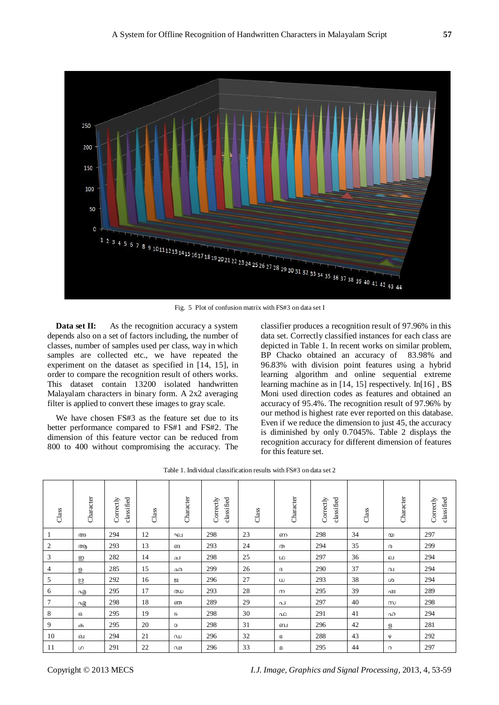

Fig. 5 Plot of confusion matrix with FS#3 on data set I

**Data set II:** As the recognition accuracy a system depends also on a set of factors including, the number of classes, number of samples used per class, way in which samples are collected etc., we have repeated the experiment on the dataset as specified in [\[14,](#page-5-11) [15\]](#page-5-12), in order to compare the recognition result of others works. This dataset contain 13200 isolated handwritten Malayalam characters in binary form. A 2x2 averaging filter is applied to convert these images to gray scale.

We have chosen FS#3 as the feature set due to its better performance compared to FS#1 and FS#2. The dimension of this feature vector can be reduced from 800 to 400 without compromising the accuracy. The

classifier produces a recognition result of 97.96% in this data set. Correctly classified instances for each class are depicted in Table 1. In recent works on similar problem, BP Chacko obtained an accuracy of 83.98% and 96.83% with division point features using a hybrid learning algorithm and online sequential extreme learning machine as in [\[14,](#page-5-11) [15\]](#page-5-12) respectively. In[16] , BS Moni used direction codes as features and obtained an accuracy of 95.4%. The recognition result of 97.96% by our method is highest rate ever reported on this database. Even if we reduce the dimension to just 45, the accuracy is diminished by only 0.7045%. Table 2 displays the recognition accuracy for different dimension of features for this feature set.

| $\frac{class}{2}$ | Character | classified<br>Correctly | Class | Character | classified<br>Correctly | Class | Character | classified<br>Correctly | Class | Character  | classified<br>Correctly |
|-------------------|-----------|-------------------------|-------|-----------|-------------------------|-------|-----------|-------------------------|-------|------------|-------------------------|
|                   | അ         | 294                     | 12    | ഘ         | 298                     | 23    | ണ         | 298                     | 34    | $\infty$   | 297                     |
| 2                 | ആ         | 293                     | 13    | ങ         | 293                     | 24    | ത         | 294                     | 35    | $\circ$    | 299                     |
| 3                 | ഇ         | 282                     | 14    | ച         | 298                     | 25    | LO        | 297                     | 36    | ்          | 294                     |
| 4                 | ഉ         | 285                     | 15    | ഛ         | 299                     | 26    | G         | 290                     | 37    | വ          | 294                     |
| 5                 | ల్లి      | 292                     | 16    | జ         | 296                     | 27    | $\omega$  | 293                     | 38    | ശ          | 294                     |
| 6                 | എ         | 295                     | 17    | ഝ         | 293                     | 28    | $\infty$  | 295                     | 39    | ഷ          | 289                     |
| 7                 | ഏ         | 298                     | 18    | ഞ         | 289                     | 29    | പ         | 297                     | 40    | $^{\circ}$ | 298                     |
| 8                 | ഒ         | 295                     | 19    | S         | 298                     | 30    | ഫ         | 291                     | 41    | ഹ          | 294                     |
| 9                 | ക         | 295                     | 20    | $\circ$   | 298                     | 31    | ബ         | 296                     | 42    | த          | 281                     |
| 10                | வ         | 294                     | 21    | $\infty$  | 296                     | 32    | G         | 288                     | 43    | φ          | 292                     |
| 11                | ഗ         | 291                     | 22    | ഢ         | 296                     | 33    | മ         | 295                     | 44    | $\Omega$   | 297                     |

Table 1. Individual classification results with FS#3 on data set 2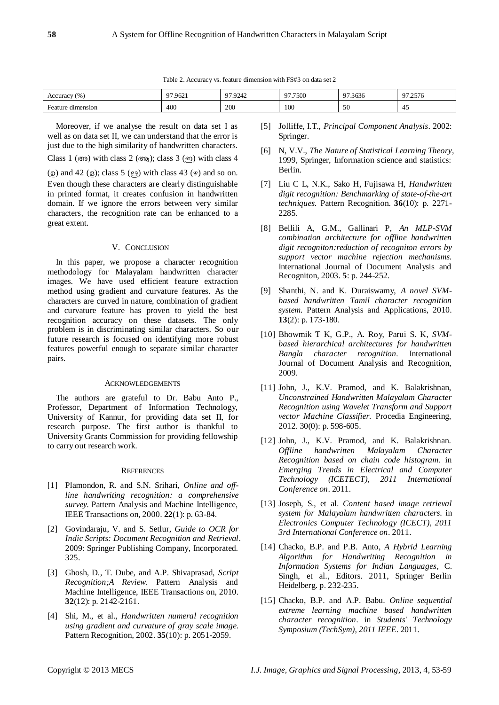Table 2. Accuracy vs. feature dimension with FS#3 on data set 2

| $\frac{9}{6}$<br><b>Accuracy</b>        | $\sim$ $\sim$<br>.9621 | 0.70312<br>1.9242 | 077500<br>7.7500 | $\sim$ $\sim$<br>303U | 07257<br>ں رے ، |
|-----------------------------------------|------------------------|-------------------|------------------|-----------------------|-----------------|
| $\blacksquare$<br>Feature.<br>dimension | 400                    | 200               | 100              | $\epsilon$<br>50      | -45             |

Moreover, if we analyse the result on data set I as well as on data set II, we can understand that the error is just due to the high similarity of handwritten characters. Class 1 (അ) with class 2 (ആ); class 3 (ഇ) with class 4  $(9)$  and 42  $(9)$ ; class 5  $(9)$  with class 43  $(9)$  and so on. Even though these characters are clearly distinguishable in printed format, it creates confusion in handwritten domain. If we ignore the errors between very similar

#### V. CONCLUSION

characters, the recognition rate can be enhanced to a

In this paper, we propose a character recognition methodology for Malayalam handwritten character images. We have used efficient feature extraction method using gradient and curvature features. As the characters are curved in nature, combination of gradient and curvature feature has proven to yield the best recognition accuracy on these datasets. The only problem is in discriminating similar characters. So our future research is focused on identifying more robust features powerful enough to separate similar character pairs.

## ACKNOWLEDGEMENTS

The authors are grateful to Dr. Babu Anto P., Professor, Department of Information Technology, University of Kannur, for providing data set II, for research purpose. The first author is thankful to University Grants Commission for providing fellowship to carry out research work.

#### **REFERENCES**

- <span id="page-5-0"></span>[1] Plamondon, R. and S.N. Srihari, *Online and offline handwriting recognition: a comprehensive survey.* Pattern Analysis and Machine Intelligence, IEEE Transactions on, 2000. **22**(1): p. 63-84.
- <span id="page-5-1"></span>[2] Govindaraju, V. and S. Setlur, *Guide to OCR for Indic Scripts: Document Recognition and Retrieval*. 2009: Springer Publishing Company, Incorporated. 325.
- <span id="page-5-2"></span>[3] Ghosh, D., T. Dube, and A.P. Shivaprasad, *Script Recognition;A Review.* Pattern Analysis and Machine Intelligence, IEEE Transactions on, 2010. **32**(12): p. 2142-2161.
- <span id="page-5-3"></span>[4] Shi, M., et al., *Handwritten numeral recognition using gradient and curvature of gray scale image.* Pattern Recognition, 2002. **35**(10): p. 2051-2059.
- <span id="page-5-4"></span>[5] Jolliffe, I.T., *Principal Component Analysis*. 2002: Springer.
- <span id="page-5-5"></span>[6] N, V.V., *The Nature of Statistical Learning Theory*, 1999, Springer, Information science and statistics: Berlin.
- <span id="page-5-6"></span>[7] Liu C L, N.K., Sako H, Fujisawa H, *Handwritten digit recognition: Benchmarking of state-of-the-art techniques.* Pattern Recognition. **36**(10): p. 2271- 2285.
- <span id="page-5-7"></span>[8] Bellili A, G.M., Gallinari P, *An MLP-SVM combination architecture for offline handwritten digit recogniton:reduction of recogniton errors by support vector machine rejection mechanisms.* International Journal of Document Analysis and Recogniton, 2003. **5**: p. 244-252.
- <span id="page-5-8"></span>[9] Shanthi, N. and K. Duraiswamy, *A novel SVMbased handwritten Tamil character recognition system.* Pattern Analysis and Applications, 2010. **13**(2): p. 173-180.
- <span id="page-5-9"></span>[10] Bhowmik T K, G.P., A. Roy, Parui S. K, *SVMbased hierarchical architectures for handwritten Bangla character recognition.* International Journal of Document Analysis and Recognition, 2009.
- <span id="page-5-10"></span>[11] John, J., K.V. Pramod, and K. Balakrishnan, *Unconstrained Handwritten Malayalam Character Recognition using Wavelet Transform and Support vector Machine Classifier.* Procedia Engineering, 2012. 30(0): p. 598-605.
- [12] John, J., K.V. Pramod, and K. Balakrishnan. *Offline handwritten Malayalam Character Recognition based on chain code histogram*. in *Emerging Trends in Electrical and Computer Technology (ICETECT), 2011 International Conference on*. 2011.
- [13] Joseph, S., et al. *Content based image retrieval system for Malayalam handwritten characters*. in *Electronics Computer Technology (ICECT), 2011 3rd International Conference on*. 2011.
- <span id="page-5-11"></span>[14] Chacko, B.P. and P.B. Anto, *A Hybrid Learning Algorithm for Handwriting Recognition in Information Systems for Indian Languages*, C. Singh, et al., Editors. 2011, Springer Berlin Heidelberg. p. 232-235.
- <span id="page-5-12"></span>[15] Chacko, B.P. and A.P. Babu. *Online sequential extreme learning machine based handwritten character recognition*. in *Students' Technology Symposium (TechSym), 2011 IEEE*. 2011.

great extent.